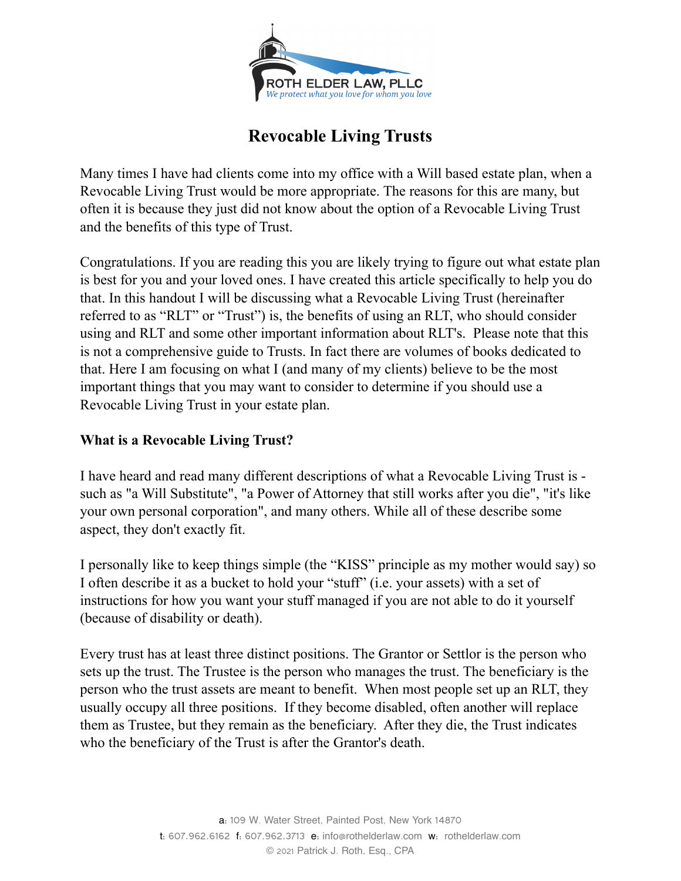

# **Revocable Living Trusts**

Many times I have had clients come into my office with a Will based estate plan, when a Revocable Living Trust would be more appropriate. The reasons for this are many, but often it is because they just did not know about the option of a Revocable Living Trust and the benefits of this type of Trust.

Congratulations. If you are reading this you are likely trying to figure out what estate plan is best for you and your loved ones. I have created this article specifically to help you do that. In this handout I will be discussing what a Revocable Living Trust (hereinafter referred to as "RLT" or "Trust") is, the benefits of using an RLT, who should consider using and RLT and some other important information about RLT's. Please note that this is not a comprehensive guide to Trusts. In fact there are volumes of books dedicated to that. Here I am focusing on what I (and many of my clients) believe to be the most important things that you may want to consider to determine if you should use a Revocable Living Trust in your estate plan.

# **What is a Revocable Living Trust?**

I have heard and read many different descriptions of what a Revocable Living Trust is such as "a Will Substitute", "a Power of Attorney that still works after you die", "it's like your own personal corporation", and many others. While all of these describe some aspect, they don't exactly fit.

I personally like to keep things simple (the "KISS" principle as my mother would say) so I often describe it as a bucket to hold your "stuff" (i.e. your assets) with a set of instructions for how you want your stuff managed if you are not able to do it yourself (because of disability or death).

Every trust has at least three distinct positions. The Grantor or Settlor is the person who sets up the trust. The Trustee is the person who manages the trust. The beneficiary is the person who the trust assets are meant to benefit. When most people set up an RLT, they usually occupy all three positions. If they become disabled, often another will replace them as Trustee, but they remain as the beneficiary. After they die, the Trust indicates who the beneficiary of the Trust is after the Grantor's death.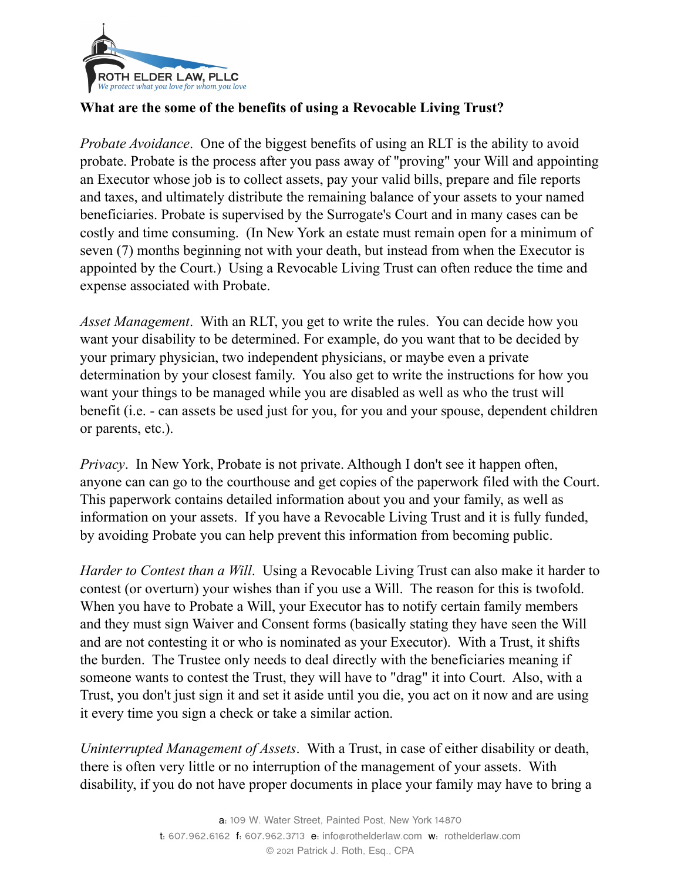

## **What are the some of the benefits of using a Revocable Living Trust?**

*Probate Avoidance*. One of the biggest benefits of using an RLT is the ability to avoid probate. Probate is the process after you pass away of "proving" your Will and appointing an Executor whose job is to collect assets, pay your valid bills, prepare and file reports and taxes, and ultimately distribute the remaining balance of your assets to your named beneficiaries. Probate is supervised by the Surrogate's Court and in many cases can be costly and time consuming. (In New York an estate must remain open for a minimum of seven (7) months beginning not with your death, but instead from when the Executor is appointed by the Court.) Using a Revocable Living Trust can often reduce the time and expense associated with Probate.

*Asset Management*. With an RLT, you get to write the rules. You can decide how you want your disability to be determined. For example, do you want that to be decided by your primary physician, two independent physicians, or maybe even a private determination by your closest family. You also get to write the instructions for how you want your things to be managed while you are disabled as well as who the trust will benefit (i.e. - can assets be used just for you, for you and your spouse, dependent children or parents, etc.).

*Privacy*. In New York, Probate is not private. Although I don't see it happen often, anyone can can go to the courthouse and get copies of the paperwork filed with the Court. This paperwork contains detailed information about you and your family, as well as information on your assets. If you have a Revocable Living Trust and it is fully funded, by avoiding Probate you can help prevent this information from becoming public.

*Harder to Contest than a Will*. Using a Revocable Living Trust can also make it harder to contest (or overturn) your wishes than if you use a Will. The reason for this is twofold. When you have to Probate a Will, your Executor has to notify certain family members and they must sign Waiver and Consent forms (basically stating they have seen the Will and are not contesting it or who is nominated as your Executor). With a Trust, it shifts the burden. The Trustee only needs to deal directly with the beneficiaries meaning if someone wants to contest the Trust, they will have to "drag" it into Court. Also, with a Trust, you don't just sign it and set it aside until you die, you act on it now and are using it every time you sign a check or take a similar action.

*Uninterrupted Management of Assets*. With a Trust, in case of either disability or death, there is often very little or no interruption of the management of your assets. With disability, if you do not have proper documents in place your family may have to bring a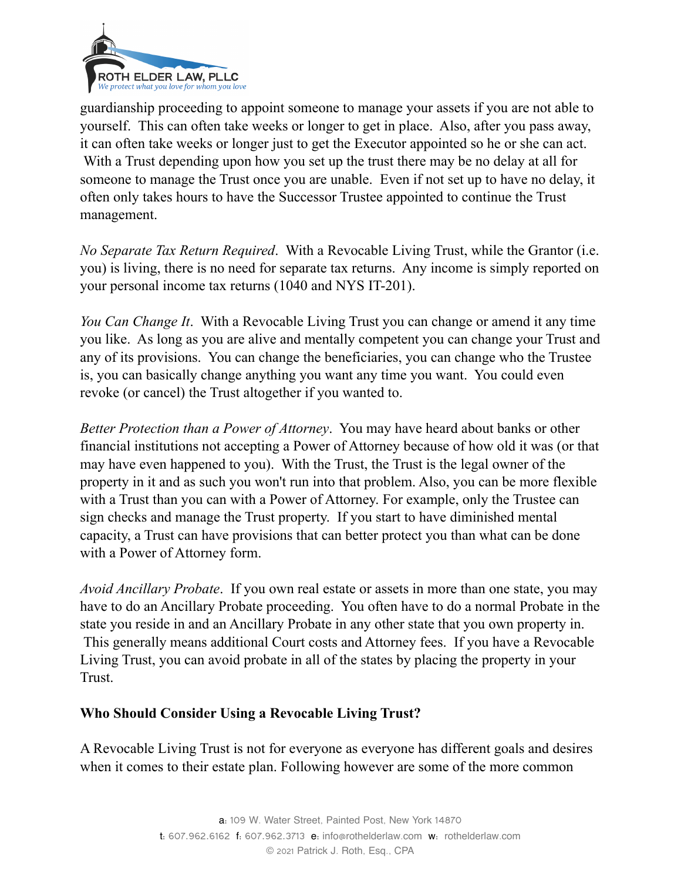

guardianship proceeding to appoint someone to manage your assets if you are not able to yourself. This can often take weeks or longer to get in place. Also, after you pass away, it can often take weeks or longer just to get the Executor appointed so he or she can act. With a Trust depending upon how you set up the trust there may be no delay at all for someone to manage the Trust once you are unable. Even if not set up to have no delay, it often only takes hours to have the Successor Trustee appointed to continue the Trust management.

*No Separate Tax Return Required*. With a Revocable Living Trust, while the Grantor (i.e. you) is living, there is no need for separate tax returns. Any income is simply reported on your personal income tax returns (1040 and NYS IT-201).

*You Can Change It*. With a Revocable Living Trust you can change or amend it any time you like. As long as you are alive and mentally competent you can change your Trust and any of its provisions. You can change the beneficiaries, you can change who the Trustee is, you can basically change anything you want any time you want. You could even revoke (or cancel) the Trust altogether if you wanted to.

*Better Protection than a Power of Attorney*. You may have heard about banks or other financial institutions not accepting a Power of Attorney because of how old it was (or that may have even happened to you). With the Trust, the Trust is the legal owner of the property in it and as such you won't run into that problem. Also, you can be more flexible with a Trust than you can with a Power of Attorney. For example, only the Trustee can sign checks and manage the Trust property. If you start to have diminished mental capacity, a Trust can have provisions that can better protect you than what can be done with a Power of Attorney form.

*Avoid Ancillary Probate*. If you own real estate or assets in more than one state, you may have to do an Ancillary Probate proceeding. You often have to do a normal Probate in the state you reside in and an Ancillary Probate in any other state that you own property in. This generally means additional Court costs and Attorney fees. If you have a Revocable Living Trust, you can avoid probate in all of the states by placing the property in your Trust.

#### **Who Should Consider Using a Revocable Living Trust?**

A Revocable Living Trust is not for everyone as everyone has different goals and desires when it comes to their estate plan. Following however are some of the more common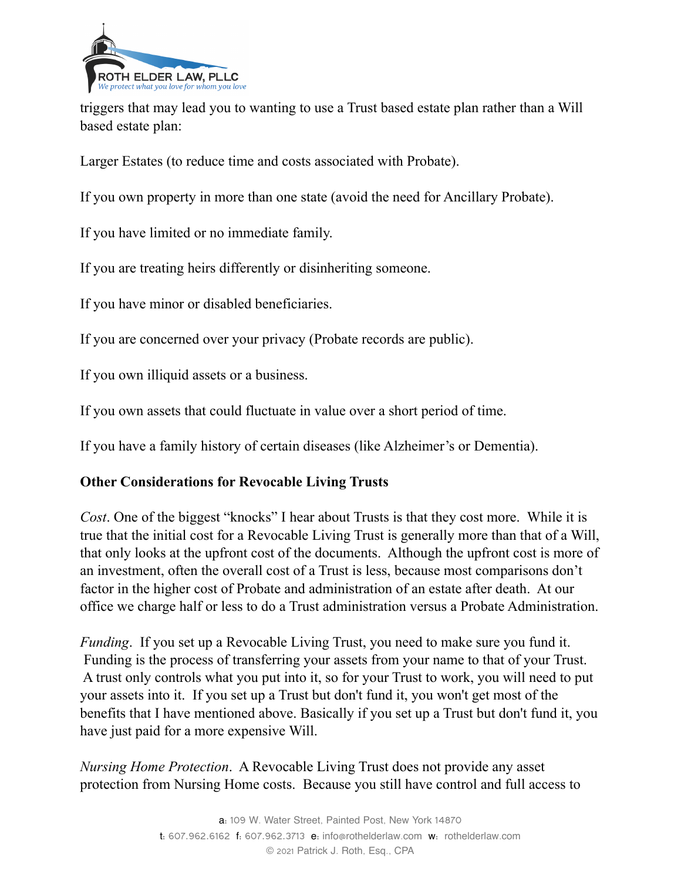

triggers that may lead you to wanting to use a Trust based estate plan rather than a Will based estate plan:

Larger Estates (to reduce time and costs associated with Probate).

If you own property in more than one state (avoid the need for Ancillary Probate).

If you have limited or no immediate family.

If you are treating heirs differently or disinheriting someone.

If you have minor or disabled beneficiaries.

If you are concerned over your privacy (Probate records are public).

If you own illiquid assets or a business.

If you own assets that could fluctuate in value over a short period of time.

If you have a family history of certain diseases (like Alzheimer's or Dementia).

#### **Other Considerations for Revocable Living Trusts**

*Cost*. One of the biggest "knocks" I hear about Trusts is that they cost more. While it is true that the initial cost for a Revocable Living Trust is generally more than that of a Will, that only looks at the upfront cost of the documents. Although the upfront cost is more of an investment, often the overall cost of a Trust is less, because most comparisons don't factor in the higher cost of Probate and administration of an estate after death. At our office we charge half or less to do a Trust administration versus a Probate Administration.

*Funding*. If you set up a Revocable Living Trust, you need to make sure you fund it. Funding is the process of transferring your assets from your name to that of your Trust. A trust only controls what you put into it, so for your Trust to work, you will need to put your assets into it. If you set up a Trust but don't fund it, you won't get most of the benefits that I have mentioned above. Basically if you set up a Trust but don't fund it, you have just paid for a more expensive Will.

*Nursing Home Protection*. A Revocable Living Trust does not provide any asset protection from Nursing Home costs. Because you still have control and full access to